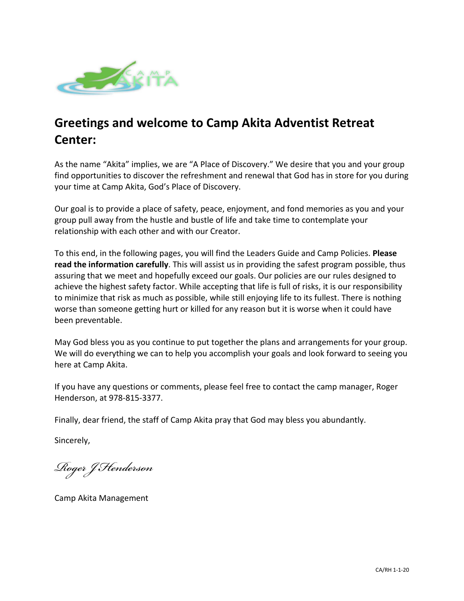

# **Greetings and welcome to Camp Akita Adventist Retreat Center:**

As the name "Akita" implies, we are "A Place of Discovery." We desire that you and your group find opportunities to discover the refreshment and renewal that God has in store for you during your time at Camp Akita, God's Place of Discovery.

Our goal is to provide a place of safety, peace, enjoyment, and fond memories as you and your group pull away from the hustle and bustle of life and take time to contemplate your relationship with each other and with our Creator.

To this end, in the following pages, you will find the Leaders Guide and Camp Policies. **Please read the information carefully**. This will assist us in providing the safest program possible, thus assuring that we meet and hopefully exceed our goals. Our policies are our rules designed to achieve the highest safety factor. While accepting that life is full of risks, it is our responsibility to minimize that risk as much as possible, while still enjoying life to its fullest. There is nothing worse than someone getting hurt or killed for any reason but it is worse when it could have been preventable.

May God bless you as you continue to put together the plans and arrangements for your group. We will do everything we can to help you accomplish your goals and look forward to seeing you here at Camp Akita.

If you have any questions or comments, please feel free to contact the camp manager, Roger Henderson, at 978-815-3377.

Finally, dear friend, the staff of Camp Akita pray that God may bless you abundantly.

Sincerely,

*Roger J Henderson*

Camp Akita Management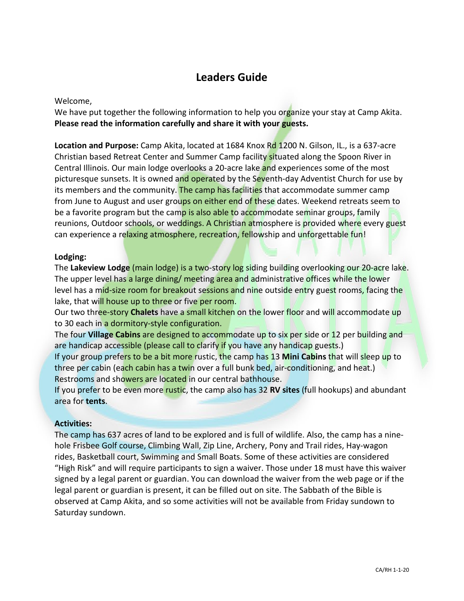# **Leaders Guide**

# Welcome,

We have put together the following information to help you organize your stay at Camp Akita. **Please read the information carefully and share it with your guests.**

**Location and Purpose:** Camp Akita, located at 1684 Knox Rd 1200 N. Gilson, IL., is a 637-acre Christian based Retreat Center and Summer Camp facility situated along the Spoon River in Central Illinois. Our main lodge overlooks a 20-acre lake and experiences some of the most picturesque sunsets. It is owned and operated by the Seventh-day Adventist Church for use by its members and the community. The camp has facilities that accommodate summer camp from June to August and user groups on either end of these dates. Weekend retreats seem to be a favorite program but the camp is also able to accommodate seminar groups, family reunions, Outdoor schools, or weddings. A Christian atmosphere is provided where every guest can experience a relaxing atmosphere, recreation, fellowship and unforgettable fun!

# **Lodging:**

The **Lakeview Lodge** (main lodge) is a two-story log siding building overlooking our 20-acre lake. The upper level has a large dining/ meeting area and administrative offices while the lower level has a mid-size room for breakout sessions and nine outside entry guest rooms, facing the lake, that will house up to three or five per room.

Our two three-story **Chalets** have a small kitchen on the lower floor and will accommodate up to 30 each in a dormitory-style configuration.

The four **Village Cabins** are designed to accommodate up to six per side or 12 per building and are handicap accessible (please call to clarify if you have any handicap guests.)

If your group prefers to be a bit more rustic, the camp has 13 **Mini Cabins** that will sleep up to three per cabin (each cabin has a twin over a full bunk bed, air-conditioning, and heat.) Restrooms and showers are located in our central bathhouse.

If you prefer to be even more rustic, the camp also has 32 **RV sites** (full hookups) and abundant area for **tents**.

#### **Activities:**

The camp has 637 acres of land to be explored and is full of wildlife. Also, the camp has a ninehole Frisbee Golf course, Climbing Wall, Zip Line, Archery, Pony and Trail rides, Hay-wagon rides, Basketball court, Swimming and Small Boats. Some of these activities are considered "High Risk" and will require participants to sign a waiver. Those under 18 must have this waiver signed by a legal parent or guardian. You can download the waiver from the web page or if the legal parent or guardian is present, it can be filled out on site. The Sabbath of the Bible is observed at Camp Akita, and so some activities will not be available from Friday sundown to Saturday sundown.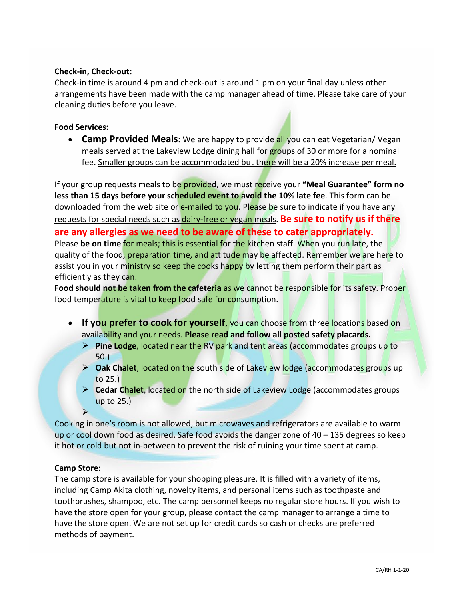# **Check-in, Check-out:**

Check-in time is around 4 pm and check-out is around 1 pm on your final day unless other arrangements have been made with the camp manager ahead of time. Please take care of your cleaning duties before you leave.

# **Food Services:**

• **Camp Provided Meals:** We are happy to provide all you can eat Vegetarian/ Vegan meals served at the Lakeview Lodge dining hall for groups of 30 or more for a nominal fee. Smaller groups can be accommodated but there will be a 20% increase per meal.

If your group requests meals to be provided, we must receive your **"Meal Guarantee" form no less than 15 days before your scheduled event to avoid the 10% late fee**. This form can be downloaded from the web site or e-mailed to you. Please be sure to indicate if you have any requests for special needs such as dairy-free or vegan meals. **Be sure to notify us if there are any allergies as we need to be aware of these to cater appropriately.** Please **be on time** for meals; this is essential for the kitchen staff. When you run late, the quality of the food, preparation time, and attitude may be affected. Remember we are here to assist you in your ministry so keep the cooks happy by letting them perform their part as efficiently as they can.

**Food should not be taken from the cafeteria** as we cannot be responsible for its safety. Proper food temperature is vital to keep food safe for consumption.

- If you prefer to cook for yourself, you can choose from three locations based on availability and your needs. **Please read and follow all posted safety placards.**
	- **Pine Lodge, located near the RV park and tent areas (accommodates groups up to** 50.)
	- **Oak Chalet**, located on the south side of Lakeview lodge (accommodates groups up to 25.)
	- **Cedar Chalet**, located on the north side of Lakeview Lodge (accommodates groups up to 25.)

Cooking in one's room is not allowed, but microwaves and refrigerators are available to warm up or cool down food as desired. Safe food avoids the danger zone of  $40 - 135$  degrees so keep it hot or cold but not in-between to prevent the risk of ruining your time spent at camp.

#### **Camp Store:**

 $\blacktriangleright$ 

The camp store is available for your shopping pleasure. It is filled with a variety of items, including Camp Akita clothing, novelty items, and personal items such as toothpaste and toothbrushes, shampoo, etc. The camp personnel keeps no regular store hours. If you wish to have the store open for your group, please contact the camp manager to arrange a time to have the store open. We are not set up for credit cards so cash or checks are preferred methods of payment.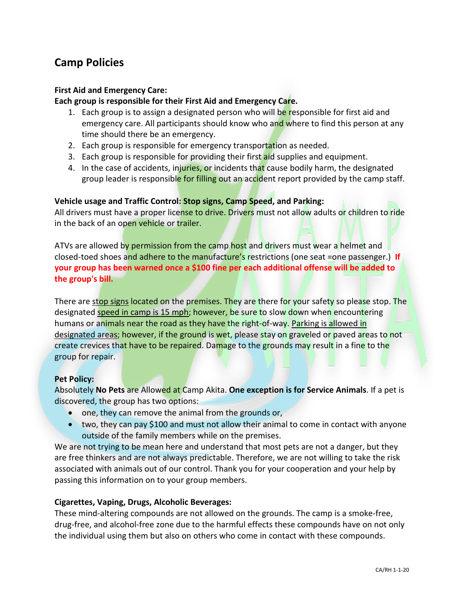# **Camp Policies**

# **First Aid and Emergency Care:**

# **Each group is responsible for their First Aid and Emergency Care.**

- 1. Each group is to assign a designated person who will be responsible for first aid and emergency care. All participants should know who and where to find this person at any time should there be an emergency.
- 2. Each group is responsible for emergency transportation as needed.
- 3. Each group is responsible for providing their first aid supplies and equipment.
- 4. In the case of accidents, injuries, or incidents that cause bodily harm, the designated group leader is responsible for filling out an accident report provided by the camp staff.

#### **Vehicle usage and Traffic Control: Stop signs, Camp Speed, and Parking:**

All drivers must have a proper license to drive. Drivers must not allow adults or children to ride in the back of an open vehicle or trailer.

ATVs are allowed by permission from the camp host and drivers must wear a helmet and closed-toed shoes and adhere to the manufacture's restrictions (one seat =one passenger.) **If your group has been warned once a \$100 fine per each additional offense will be added to the group's bill.**

There are stop signs located on the premises. They are there for your safety so please stop. The designated speed in camp is 15 mph; however, be sure to slow down when encountering humans or animals near the road as they have the right-of-way. Parking is allowed in designated areas; however, if the ground is wet, please stay on graveled or paved areas to not create crevices that have to be repaired. Damage to the grounds may result in a fine to the group for repair.

#### **Pet Policy:**

Absolutely **No Pets** are Allowed at Camp Akita. **One exception is for Service Animals**. If a pet is discovered, the group has two options:

- one, they can remove the animal from the grounds or,
- two, they can pay \$100 and must not allow their animal to come in contact with anyone outside of the family members while on the premises.

We are not trying to be mean here and understand that most pets are not a danger, but they are free thinkers and are not always predictable. Therefore, we are not willing to take the risk associated with animals out of our control. Thank you for your cooperation and your help by passing this information on to your group members.

#### **Cigarettes, Vaping, Drugs, Alcoholic Beverages:**

These mind-altering compounds are not allowed on the grounds. The camp is a smoke-free, drug-free, and alcohol-free zone due to the harmful effects these compounds have on not only the individual using them but also on others who come in contact with these compounds.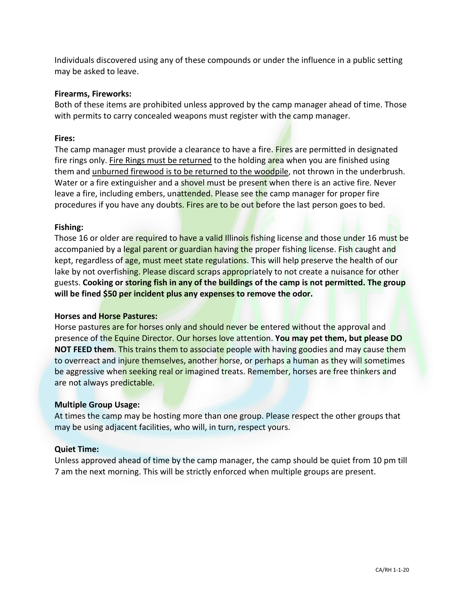Individuals discovered using any of these compounds or under the influence in a public setting may be asked to leave.

#### **Firearms, Fireworks:**

Both of these items are prohibited unless approved by the camp manager ahead of time. Those with permits to carry concealed weapons must register with the camp manager.

# **Fires:**

The camp manager must provide a clearance to have a fire. Fires are permitted in designated fire rings only. Fire Rings must be returned to the holding area when you are finished using them and unburned firewood is to be returned to the woodpile, not thrown in the underbrush. Water or a fire extinguisher and a shovel must be present when there is an active fire. Never leave a fire, including embers, unattended. Please see the camp manager for proper fire procedures if you have any doubts. Fires are to be out before the last person goes to bed.

# **Fishing:**

Those 16 or older are required to have a valid Illinois fishing license and those under 16 must be accompanied by a legal parent or guardian having the proper fishing license. Fish caught and kept, regardless of age, must meet state regulations. This will help preserve the health of our lake by not overfishing. Please discard scraps appropriately to not create a nuisance for other guests. **Cooking or storing fish in any of the buildings of the camp is not permitted. The group will be fined \$50 per incident plus any expenses to remove the odor.**

#### **Horses and Horse Pastures:**

Horse pastures are for horses only and should never be entered without the approval and presence of the Equine Director. Our horses love attention. **You may pet them, but please DO NOT FEED them**. This trains them to associate people with having goodies and may cause them to overreact and injure themselves, another horse, or perhaps a human as they will sometimes be aggressive when seeking real or imagined treats. Remember, horses are free thinkers and are not always predictable.

#### **Multiple Group Usage:**

At times the camp may be hosting more than one group. Please respect the other groups that may be using adjacent facilities, who will, in turn, respect yours.

#### **Quiet Time:**

Unless approved ahead of time by the camp manager, the camp should be quiet from 10 pm till 7 am the next morning. This will be strictly enforced when multiple groups are present.